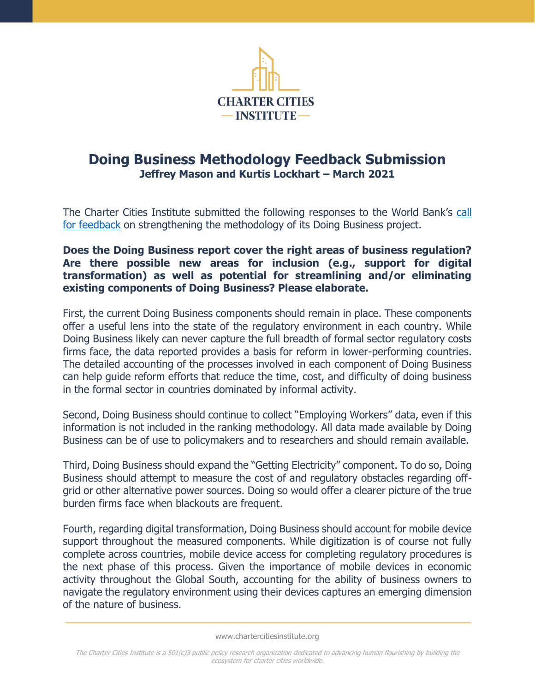

# **Doing Business Methodology Feedback Submission Jeffrey Mason and Kurtis Lockhart – March 2021**

The Charter Cities Institute submitted the following responses to the World Bank's [call](https://consultations.worldbank.org/consultation/seeking-feedback-doing-business-methodology-review-external-panel)  [for feedback](https://consultations.worldbank.org/consultation/seeking-feedback-doing-business-methodology-review-external-panel) on strengthening the methodology of its Doing Business project.

## **Does the Doing Business report cover the right areas of business regulation? Are there possible new areas for inclusion (e.g., support for digital transformation) as well as potential for streamlining and/or eliminating existing components of Doing Business? Please elaborate.**

First, the current Doing Business components should remain in place. These components offer a useful lens into the state of the regulatory environment in each country. While Doing Business likely can never capture the full breadth of formal sector regulatory costs firms face, the data reported provides a basis for reform in lower-performing countries. The detailed accounting of the processes involved in each component of Doing Business can help guide reform efforts that reduce the time, cost, and difficulty of doing business in the formal sector in countries dominated by informal activity.

Second, Doing Business should continue to collect "Employing Workers" data, even if this information is not included in the ranking methodology. All data made available by Doing Business can be of use to policymakers and to researchers and should remain available.

Third, Doing Business should expand the "Getting Electricity" component. To do so, Doing Business should attempt to measure the cost of and regulatory obstacles regarding offgrid or other alternative power sources. Doing so would offer a clearer picture of the true burden firms face when blackouts are frequent.

Fourth, regarding digital transformation, Doing Business should account for mobile device support throughout the measured components. While digitization is of course not fully complete across countries, mobile device access for completing regulatory procedures is the next phase of this process. Given the importance of mobile devices in economic activity throughout the Global South, accounting for the ability of business owners to navigate the regulatory environment using their devices captures an emerging dimension of the nature of business.

www.chartercitiesinstitute.org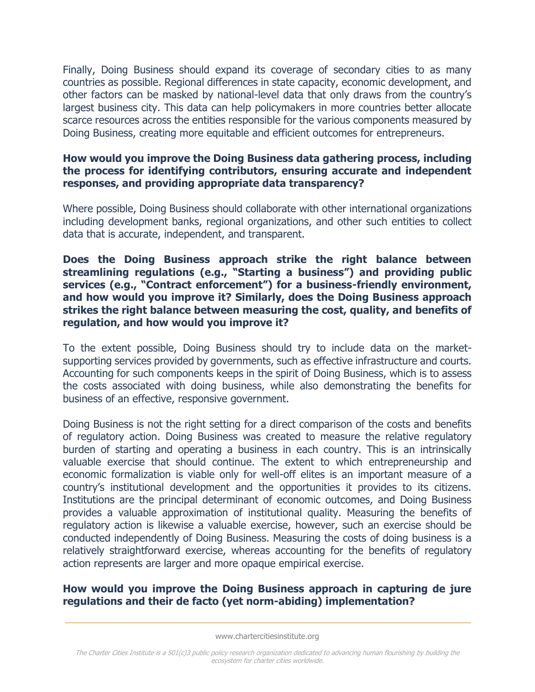Finally, Doing Business should expand its coverage of secondary cities to as many countries as possible. Regional differences in state capacity, economic development, and other factors can be masked by national-level data that only draws from the country's largest business city. This data can help policymakers in more countries better allocate scarce resources across the entities responsible for the various components measured by Doing Business, creating more equitable and efficient outcomes for entrepreneurs.

## **How would you improve the Doing Business data gathering process, including the process for identifying contributors, ensuring accurate and independent responses, and providing appropriate data transparency?**

Where possible, Doing Business should collaborate with other international organizations including development banks, regional organizations, and other such entities to collect data that is accurate, independent, and transparent.

### **Does the Doing Business approach strike the right balance between streamlining regulations (e.g., "Starting a business") and providing public services (e.g., "Contract enforcement") for a business-friendly environment, and how would you improve it? Similarly, does the Doing Business approach strikes the right balance between measuring the cost, quality, and benefits of regulation, and how would you improve it?**

To the extent possible, Doing Business should try to include data on the marketsupporting services provided by governments, such as effective infrastructure and courts. Accounting for such components keeps in the spirit of Doing Business, which is to assess the costs associated with doing business, while also demonstrating the benefits for business of an effective, responsive government.

Doing Business is not the right setting for a direct comparison of the costs and benefits of regulatory action. Doing Business was created to measure the relative regulatory burden of starting and operating a business in each country. This is an intrinsically valuable exercise that should continue. The extent to which entrepreneurship and economic formalization is viable only for well-off elites is an important measure of a country's institutional development and the opportunities it provides to its citizens. Institutions are the principal determinant of economic outcomes, and Doing Business provides a valuable approximation of institutional quality. Measuring the benefits of regulatory action is likewise a valuable exercise, however, such an exercise should be conducted independently of Doing Business. Measuring the costs of doing business is a relatively straightforward exercise, whereas accounting for the benefits of regulatory action represents are larger and more opaque empirical exercise.

### **How would you improve the Doing Business approach in capturing de jure regulations and their de facto (yet norm-abiding) implementation?**

www.chartercitiesinstitute.org